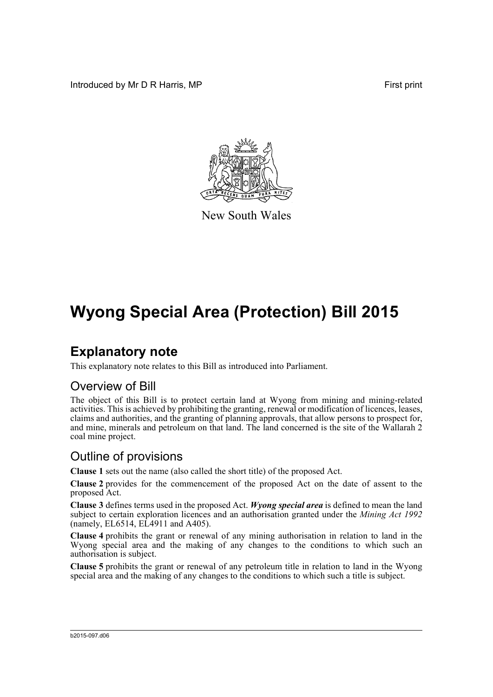Introduced by Mr D R Harris, MP **First** print



New South Wales

# **Wyong Special Area (Protection) Bill 2015**

### **Explanatory note**

This explanatory note relates to this Bill as introduced into Parliament.

### Overview of Bill

The object of this Bill is to protect certain land at Wyong from mining and mining-related activities. This is achieved by prohibiting the granting, renewal or modification of licences, leases, claims and authorities, and the granting of planning approvals, that allow persons to prospect for, and mine, minerals and petroleum on that land. The land concerned is the site of the Wallarah 2 coal mine project.

### Outline of provisions

**Clause 1** sets out the name (also called the short title) of the proposed Act.

**Clause 2** provides for the commencement of the proposed Act on the date of assent to the proposed Act.

**Clause 3** defines terms used in the proposed Act. *Wyong special area* is defined to mean the land subject to certain exploration licences and an authorisation granted under the *Mining Act 1992*  $(namely, EL6514, E<sub>L</sub>4911 and A405).$ 

**Clause 4** prohibits the grant or renewal of any mining authorisation in relation to land in the Wyong special area and the making of any changes to the conditions to which such an authorisation is subject.

**Clause 5** prohibits the grant or renewal of any petroleum title in relation to land in the Wyong special area and the making of any changes to the conditions to which such a title is subject.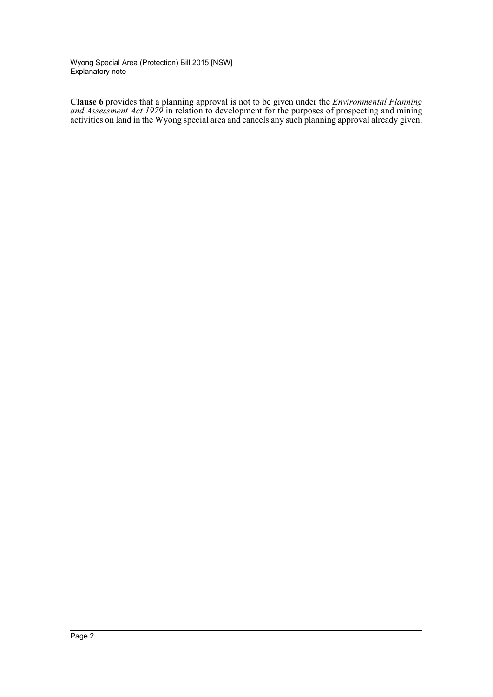**Clause 6** provides that a planning approval is not to be given under the *Environmental Planning and Assessment Act 1979* in relation to development for the purposes of prospecting and mining activities on land in the Wyong special area and cancels any such planning approval already given.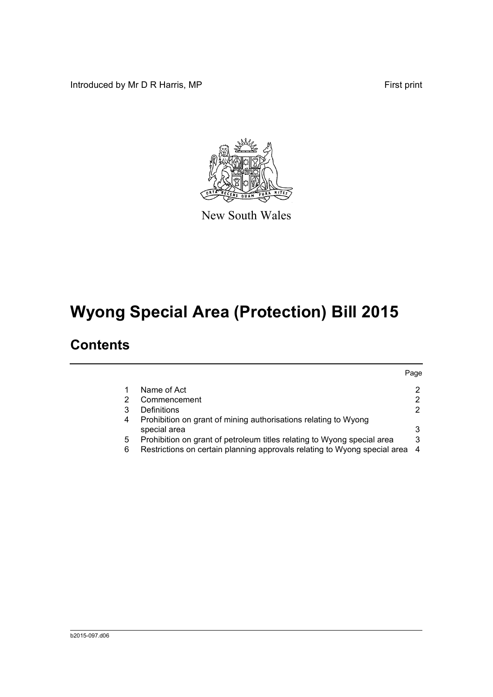Introduced by Mr D R Harris, MP First print



New South Wales

# **Wyong Special Area (Protection) Bill 2015**

### **Contents**

|   |                                                                                 | Page           |
|---|---------------------------------------------------------------------------------|----------------|
|   | Name of Act                                                                     | 2              |
|   | Commencement                                                                    | 2              |
| 3 | Definitions                                                                     | $\overline{2}$ |
| 4 | Prohibition on grant of mining authorisations relating to Wyong<br>special area | 3              |
| 5 | Prohibition on grant of petroleum titles relating to Wyong special area         | 3              |
| 6 | Restrictions on certain planning approvals relating to Wyong special area 4     |                |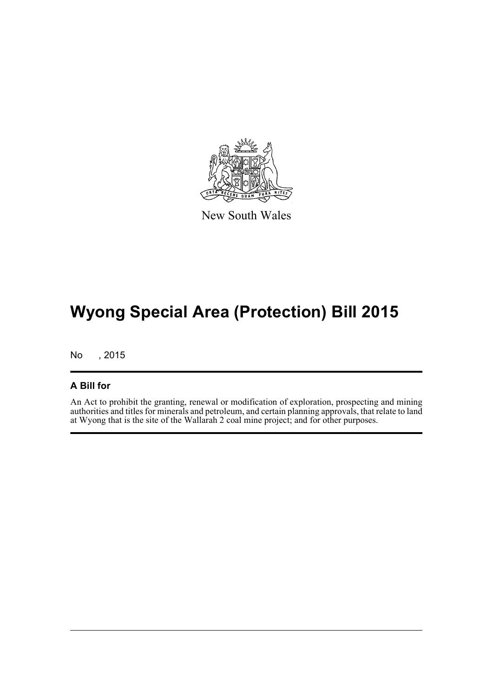

New South Wales

## **Wyong Special Area (Protection) Bill 2015**

No , 2015

#### **A Bill for**

An Act to prohibit the granting, renewal or modification of exploration, prospecting and mining authorities and titles for minerals and petroleum, and certain planning approvals, that relate to land at Wyong that is the site of the Wallarah 2 coal mine project; and for other purposes.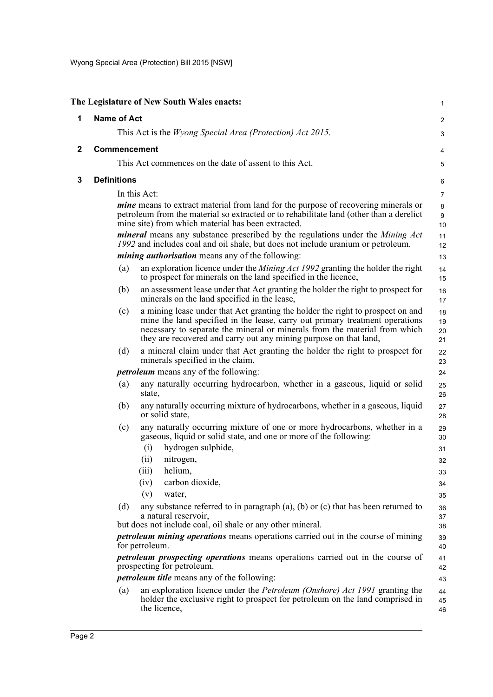<span id="page-4-2"></span><span id="page-4-1"></span><span id="page-4-0"></span>

|              |                                                                                                                                                                                                                           | The Legislature of New South Wales enacts:                                                                                                                                                                                                                                                                        | 1                                      |
|--------------|---------------------------------------------------------------------------------------------------------------------------------------------------------------------------------------------------------------------------|-------------------------------------------------------------------------------------------------------------------------------------------------------------------------------------------------------------------------------------------------------------------------------------------------------------------|----------------------------------------|
|              |                                                                                                                                                                                                                           |                                                                                                                                                                                                                                                                                                                   |                                        |
| 1            | <b>Name of Act</b>                                                                                                                                                                                                        |                                                                                                                                                                                                                                                                                                                   | 2                                      |
|              |                                                                                                                                                                                                                           | This Act is the <i>Wyong Special Area (Protection) Act 2015</i> .                                                                                                                                                                                                                                                 | 3                                      |
| $\mathbf{2}$ | <b>Commencement</b>                                                                                                                                                                                                       |                                                                                                                                                                                                                                                                                                                   | 4                                      |
|              |                                                                                                                                                                                                                           | This Act commences on the date of assent to this Act.                                                                                                                                                                                                                                                             | 5                                      |
| 3            | <b>Definitions</b>                                                                                                                                                                                                        |                                                                                                                                                                                                                                                                                                                   | 6                                      |
|              |                                                                                                                                                                                                                           | In this Act:                                                                                                                                                                                                                                                                                                      | $\overline{7}$                         |
|              |                                                                                                                                                                                                                           | <i>mine</i> means to extract material from land for the purpose of recovering minerals or<br>petroleum from the material so extracted or to rehabilitate land (other than a derelict<br>mine site) from which material has been extracted.                                                                        | 8<br>9<br>$10$                         |
|              |                                                                                                                                                                                                                           | <i>mineral</i> means any substance prescribed by the regulations under the <i>Mining Act</i><br>1992 and includes coal and oil shale, but does not include uranium or petroleum.                                                                                                                                  | 11<br>12                               |
|              |                                                                                                                                                                                                                           | <i>mining authorisation</i> means any of the following:                                                                                                                                                                                                                                                           | 13                                     |
|              | (a)                                                                                                                                                                                                                       | an exploration licence under the <i>Mining Act 1992</i> granting the holder the right<br>to prospect for minerals on the land specified in the licence,                                                                                                                                                           | 14<br>15                               |
|              | (b)                                                                                                                                                                                                                       | an assessment lease under that Act granting the holder the right to prospect for<br>minerals on the land specified in the lease,                                                                                                                                                                                  | 16<br>17                               |
|              | (c)                                                                                                                                                                                                                       | a mining lease under that Act granting the holder the right to prospect on and<br>mine the land specified in the lease, carry out primary treatment operations<br>necessary to separate the mineral or minerals from the material from which<br>they are recovered and carry out any mining purpose on that land, | 18<br>19<br>20<br>21                   |
|              | (d)                                                                                                                                                                                                                       | a mineral claim under that Act granting the holder the right to prospect for<br>minerals specified in the claim.                                                                                                                                                                                                  | 22<br>23                               |
|              |                                                                                                                                                                                                                           | <i>petroleum</i> means any of the following:                                                                                                                                                                                                                                                                      | 24                                     |
|              | (a)                                                                                                                                                                                                                       | any naturally occurring hydrocarbon, whether in a gaseous, liquid or solid<br>state,                                                                                                                                                                                                                              | 25<br>26                               |
|              | (b)                                                                                                                                                                                                                       | any naturally occurring mixture of hydrocarbons, whether in a gaseous, liquid<br>or solid state,                                                                                                                                                                                                                  | 27<br>28                               |
|              | (c)                                                                                                                                                                                                                       | any naturally occurring mixture of one or more hydrocarbons, whether in a<br>gaseous, liquid or solid state, and one or more of the following:<br>hydrogen sulphide,<br>(i)<br>(ii)<br>nitrogen,<br>(iii)<br>helium,<br>carbon dioxide,<br>(iv)<br>(v)<br>water,                                                  | 29<br>30<br>31<br>32<br>33<br>34<br>35 |
|              | (d)                                                                                                                                                                                                                       | any substance referred to in paragraph $(a)$ , $(b)$ or $(c)$ that has been returned to<br>a natural reservoir.<br>but does not include coal, oil shale or any other mineral.                                                                                                                                     | 36<br>37<br>38                         |
|              | petroleum mining operations means operations carried out in the course of mining<br>for petroleum.<br><i>petroleum prospecting operations</i> means operations carried out in the course of<br>prospecting for petroleum. |                                                                                                                                                                                                                                                                                                                   | 39<br>40                               |
|              |                                                                                                                                                                                                                           |                                                                                                                                                                                                                                                                                                                   | 41<br>42                               |
|              |                                                                                                                                                                                                                           | <i>petroleum title</i> means any of the following:                                                                                                                                                                                                                                                                | 43                                     |
|              | (a)                                                                                                                                                                                                                       | an exploration licence under the <i>Petroleum (Onshore) Act 1991</i> granting the<br>holder the exclusive right to prospect for petroleum on the land comprised in<br>the licence,                                                                                                                                | 44<br>45<br>46                         |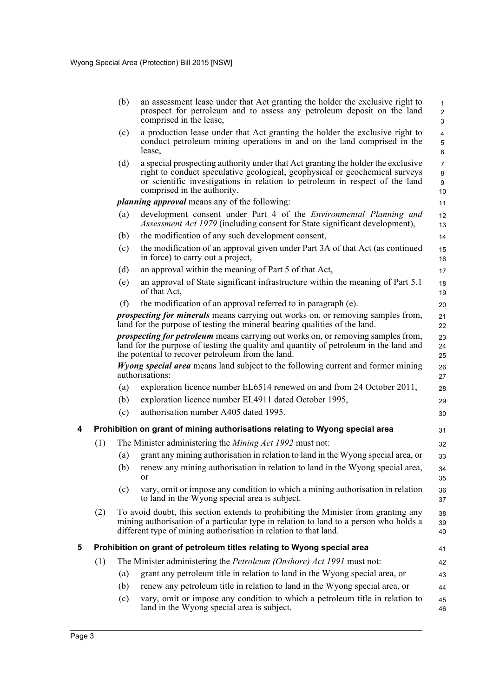<span id="page-5-1"></span><span id="page-5-0"></span>

|   |     | (b) | an assessment lease under that Act granting the holder the exclusive right to<br>prospect for petroleum and to assess any petroleum deposit on the land<br>comprised in the lease,                                                                                             | $\mathbf{1}$<br>$\overline{2}$<br>3 |
|---|-----|-----|--------------------------------------------------------------------------------------------------------------------------------------------------------------------------------------------------------------------------------------------------------------------------------|-------------------------------------|
|   |     | (c) | a production lease under that Act granting the holder the exclusive right to<br>conduct petroleum mining operations in and on the land comprised in the<br>lease,                                                                                                              | $\overline{4}$<br>5<br>6            |
|   |     | (d) | a special prospecting authority under that Act granting the holder the exclusive<br>right to conduct speculative geological, geophysical or geochemical surveys<br>or scientific investigations in relation to petroleum in respect of the land<br>comprised in the authority. | $\overline{7}$<br>8<br>9<br>10      |
|   |     |     | <i>planning approval</i> means any of the following:                                                                                                                                                                                                                           | 11                                  |
|   |     | (a) | development consent under Part 4 of the <i>Environmental Planning and</i><br><i>Assessment Act 1979</i> (including consent for State significant development),                                                                                                                 | 12<br>13                            |
|   |     | (b) | the modification of any such development consent,                                                                                                                                                                                                                              | 14                                  |
|   |     | (c) | the modification of an approval given under Part 3A of that Act (as continued<br>in force) to carry out a project,                                                                                                                                                             | 15<br>16                            |
|   |     | (d) | an approval within the meaning of Part 5 of that Act,                                                                                                                                                                                                                          | 17                                  |
|   |     | (e) | an approval of State significant infrastructure within the meaning of Part 5.1<br>of that Act,                                                                                                                                                                                 | 18<br>19                            |
|   |     | (f) | the modification of an approval referred to in paragraph (e).                                                                                                                                                                                                                  | 20                                  |
|   |     |     | <i>prospecting for minerals</i> means carrying out works on, or removing samples from,<br>land for the purpose of testing the mineral bearing qualities of the land.                                                                                                           | 21<br>22                            |
|   |     |     | <i>prospecting for petroleum</i> means carrying out works on, or removing samples from,<br>land for the purpose of testing the quality and quantity of petroleum in the land and<br>the potential to recover petroleum from the land.                                          | 23<br>24<br>25                      |
|   |     |     | <i>Wyong special area</i> means land subject to the following current and former mining<br>authorisations:                                                                                                                                                                     | 26<br>27                            |
|   |     | (a) | exploration licence number EL6514 renewed on and from 24 October 2011,                                                                                                                                                                                                         | 28                                  |
|   |     | (b) | exploration licence number EL4911 dated October 1995,                                                                                                                                                                                                                          | 29                                  |
|   |     | (c) | authorisation number A405 dated 1995.                                                                                                                                                                                                                                          | 30                                  |
| 4 |     |     | Prohibition on grant of mining authorisations relating to Wyong special area                                                                                                                                                                                                   | 31                                  |
|   | (1) |     | The Minister administering the Mining Act 1992 must not:                                                                                                                                                                                                                       | 32                                  |
|   |     | (a) | grant any mining authorisation in relation to land in the Wyong special area, or                                                                                                                                                                                               | 33                                  |
|   |     |     | (b) renew any mining authorisation in relation to land in the Wyong special area,<br>or                                                                                                                                                                                        | 34<br>35                            |
|   |     | (c) | vary, omit or impose any condition to which a mining authorisation in relation<br>to land in the Wyong special area is subject.                                                                                                                                                | 36<br>37                            |
|   | (2) |     | To avoid doubt, this section extends to prohibiting the Minister from granting any<br>mining authorisation of a particular type in relation to land to a person who holds a<br>different type of mining authorisation in relation to that land.                                | 38<br>39<br>40                      |
| 5 |     |     | Prohibition on grant of petroleum titles relating to Wyong special area                                                                                                                                                                                                        | 41                                  |
|   | (1) |     | The Minister administering the <i>Petroleum (Onshore) Act 1991</i> must not:                                                                                                                                                                                                   | 42                                  |
|   |     | (a) | grant any petroleum title in relation to land in the Wyong special area, or                                                                                                                                                                                                    | 43                                  |
|   |     | (b) | renew any petroleum title in relation to land in the Wyong special area, or                                                                                                                                                                                                    | 44                                  |
|   |     | (c) | vary, omit or impose any condition to which a petroleum title in relation to<br>land in the Wyong special area is subject.                                                                                                                                                     | 45<br>46                            |